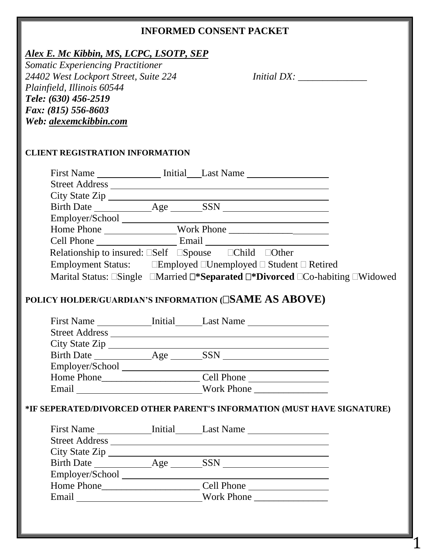### **INFORMED CONSENT PACKET**

## *Alex E. Mc Kibbin, MS, LCPC, LSOTP, SEP*

*Somatic Experiencing Practitioner 24402 West Lockport Street, Suite 224 Initial DX: \_\_\_\_\_\_\_\_\_\_\_\_\_\_ Plainfield, Illinois 60544 Tele: (630) 456-2519 Fax: (815) 556-8603 Web: alexemckibbin.com*

 $\mathbf{1}$ 

#### **CLIENT REGISTRATION INFORMATION**

| First Name Initial Last Name                                                                                                                                                                                                   |  |  |
|--------------------------------------------------------------------------------------------------------------------------------------------------------------------------------------------------------------------------------|--|--|
|                                                                                                                                                                                                                                |  |  |
| City State Zip                                                                                                                                                                                                                 |  |  |
| Birth Date Age SSN                                                                                                                                                                                                             |  |  |
| Employer/School and the state of the state of the state of the state of the state of the state of the state of the state of the state of the state of the state of the state of the state of the state of the state of the sta |  |  |
|                                                                                                                                                                                                                                |  |  |
| Cell Phone Email                                                                                                                                                                                                               |  |  |
| Relationship to insured: $\square Set \quad \square Spouse \quad \square Child \quad \square Other$                                                                                                                            |  |  |
| Employment Status: Employed $\Box$ Unemployed $\Box$ Student $\Box$ Retired                                                                                                                                                    |  |  |
| Marital Status: $\Box$ Single $\Box$ Married $\Box$ * <b>Separated <math>\Box</math>*Divorced</b> $\Box$ Co-habiting $\Box$ Widowed                                                                                            |  |  |

## **POLICY HOLDER/GUARDIAN'S INFORMATION (SAME AS ABOVE)**

| <b>First Name</b>     | Initial    | Last Name         |
|-----------------------|------------|-------------------|
| <b>Street Address</b> |            |                   |
| City State Zip        |            |                   |
| <b>Birth Date</b>     | Age $\_\_$ | <b>SSN</b>        |
| Employer/School       |            |                   |
| Home Phone            |            | Cell Phone        |
| Email                 |            | <b>Work Phone</b> |

#### **\*IF SEPERATED/DIVORCED OTHER PARENT'S INFORMATION (MUST HAVE SIGNATURE)**

| <b>First Name</b>     | Initial | Last Name         |
|-----------------------|---------|-------------------|
| <b>Street Address</b> |         |                   |
| City State Zip        |         |                   |
| <b>Birth Date</b>     | Age     | <b>SSN</b>        |
| Employer/School       |         |                   |
| Home Phone            |         | Cell Phone        |
| Email                 |         | <b>Work Phone</b> |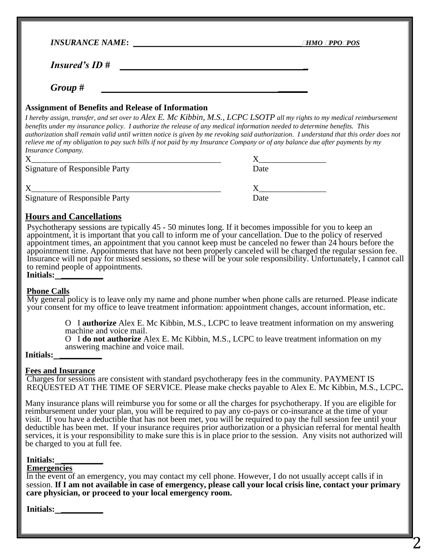| <b>INSURANCE NAME:</b> | <i><b>hmo ¤po¤pos</b></i> |
|------------------------|---------------------------|
| <b>Insured's ID#</b>   |                           |
| Group #                |                           |

#### **Assignment of Benefits and Release of Information**

*I hereby assign, transfer, and set over to Alex E. Mc Kibbin, M.S., LCPC LSOTP all my rights to my medical reimbursement benefits under my insurance policy. I authorize the release of any medical information needed to determine benefits. This authorization shall remain valid until written notice is given by me revoking said authorization. I understand that this order does not relieve me of my obligation to pay such bills if not paid by my Insurance Company or of any balance due after payments by my Insurance Company.*

| Signature of Responsible Party | Date |
|--------------------------------|------|
|                                |      |
| Signature of Responsible Party | Date |

#### **Hours and Cancellations**

Psychotherapy sessions are typically 45 - 50 minutes long. If it becomes impossible for you to keep an appointment, it is important that you call to inform me of your cancellation. Due to the policy of reserved appointment times, an appointment that you cannot keep must be canceled no fewer than 24 hours before the appointment time. Appointments that have not been properly canceled will be charged the regular session fee. Insurance will not pay for missed sessions, so these will be your sole responsibility. Unfortunately, I cannot call to remind people of appointments.

**Initials: \_\_\_\_\_\_\_\_\_\_**

#### **Phone Calls**

My general policy is to leave only my name and phone number when phone calls are returned. Please indicate your consent for my office to leave treatment information: appointment changes, account information, etc.

> O I **authorize** Alex E. Mc Kibbin, M.S., LCPC to leave treatment information on my answering machine and voice mail.

O I **do not authorize** Alex E. Mc Kibbin, M.S., LCPC to leave treatment information on my answering machine and voice mail.

#### **Initials: \_\_\_\_\_\_\_\_\_\_**

#### **Fees and Insurance**

Charges for sessions are consistent with standard psychotherapy fees in the community. PAYMENT IS REQUESTED AT THE TIME OF SERVICE. Please make checks payable to Alex E. Mc Kibbin, M.S., LCPC**.**

Many insurance plans will reimburse you for some or all the charges for psychotherapy. If you are eligible for reimbursement under your plan, you will be required to pay any co-pays or co-insurance at the time of your visit. If you have a deductible that has not been met, you will be required to pay the full session fee until your deductible has been met. If your insurance requires prior authorization or a physician referral for mental health services, it is your responsibility to make sure this is in place prior to the session. Any visits not authorized will be charged to you at full fee.

#### **Initials: \_\_\_\_\_\_\_\_\_\_**

#### **Emergencies**

In the event of an emergency, you may contact my cell phone. However, I do not usually accept calls if in session. **If I am not available in case of emergency, please call your local crisis line, contact your primary care physician, or proceed to your local emergency room.**

| <b>Initials:</b> |  |  |  |
|------------------|--|--|--|
|                  |  |  |  |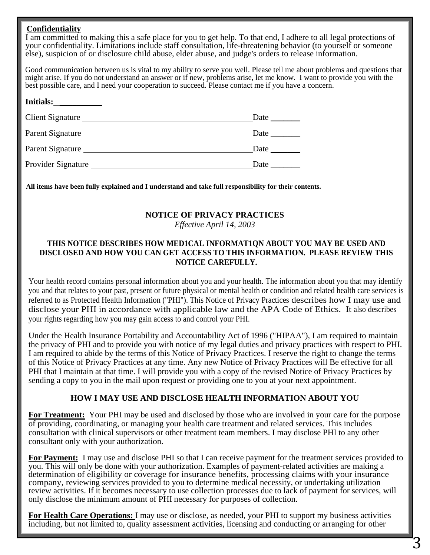#### **Confidentiality**

I am committed to making this a safe place for you to get help. To that end, I adhere to all legal protections of your confidentiality. Limitations include staff consultation, life-threatening behavior (to yourself or someone else), suspicion of or disclosure child abuse, elder abuse, and judge's orders to release information.

Good communication between us is vital to my ability to serve you well. Please tell me about problems and questions that might arise. If you do not understand an answer or if new, problems arise, let me know. I want to provide you with the best possible care, and I need your cooperation to succeed. Please contact me if you have a concern.

| <b>Initials:</b>   |      |
|--------------------|------|
| Client Signature   | Date |
| Parent Signature   | Date |
| Parent Signature   | Date |
| Provider Signature | Date |

**All items have been fully explained and I understand and take full responsibility for their contents.**

#### **NOTICE OF PRIVACY PRACTICES**

*Effective April 14, 2003*

#### **THIS NOTICE DESCRIBES HOW MED1CAL INFORMAT1QN ABOUT YOU MAY BE USED AND DISCLOSED AND HOW YOU CAN GET ACCESS TO THIS INFORMATION. PLEASE REVIEW THIS NOTICE CAREFULLY.**

Your health record contains personal information about you and your health. The information about you that may identify you and that relates to your past, present or future physical or mental health or condition and related health care services is referred to as Protected Health Information ("PHI"). This Notice of Privacy Practices describes how I may use and disclose your PHI in accordance with applicable law and the APA Code of Ethics. It also describes your rights regarding how you may gain access to and control your PHI.

Under the Health Insurance Portability and Accountability Act of 1996 ("HIPAA"), I am required to maintain the privacy of PHI and to provide you with notice of my legal duties and privacy practices with respect to PHI. I am required to abide by the terms of this Notice of Privacy Practices. I reserve the right to change the terms of this Notice of Privacy Practices at any time. Any new Notice of Privacy Practices will Be effective for all PHI that I maintain at that time. I will provide you with a copy of the revised Notice of Privacy Practices by sending a copy to you in the mail upon request or providing one to you at your next appointment.

#### **HOW I MAY USE AND DISCLOSE HEALTH INFORMATION ABOUT YOU**

**For Treatment:** Your PHI may be used and disclosed by those who are involved in your care for the purpose of providing, coordinating, or managing your health care treatment and related services. This includes consultation with clinical supervisors or other treatment team members. I may disclose PHI to any other consultant only with your authorization.

**For Payment:** I may use and disclose PHI so that I can receive payment for the treatment services provided to you. This will only be done with your authorization. Examples of payment-related activities are making a determination of eligibility or coverage for insurance benefits, processing claims with your insurance company, reviewing services provided to you to determine medical necessity, or undertaking utilization review activities. If it becomes necessary to use collection processes due to lack of payment for services, will only disclose the minimum amount of PHI necessary for purposes of collection.

**For Health Care Operations:** I may use or disclose, as needed, your PHI to support my business activities including, but not limited to, quality assessment activities, licensing and conducting or arranging for other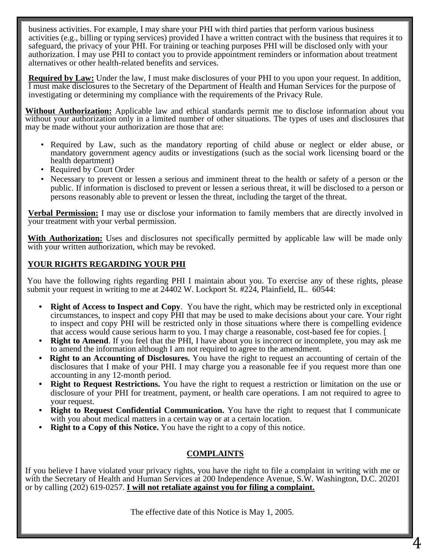business activities. For example, I may share your PHI with third parties that perform various business activities (e.g., billing or typing services) provided I have a written contract with the business that requires it to safeguard, the privacy of your PHI. For training or teaching purposes PHI will be disclosed only with your authorization. I may use PHI to contact you to provide appointment reminders or information about treatment alternatives or other health-related benefits and services.

**Required by Law:** Under the law, I must make disclosures of your PHI to you upon your request. In addition, I must make disclosures to the Secretary of the Department of Health and Human Services for the purpose of investigating or determining my compliance with the requirements of the Privacy Rule.

**Without Authorization:** Applicable law and ethical standards permit me to disclose information about you without your authorization only in a limited number of other situations. The types of uses and disclosures that may be made without your authorization are those that are:

- Required by Law, such as the mandatory reporting of child abuse or neglect or elder abuse, or mandatory government agency audits or investigations (such as the social work licensing board or the health department)
- Required by Court Order
- Necessary to prevent or lessen a serious and imminent threat to the health or safety of a person or the public. If information is disclosed to prevent or lessen a serious threat, it will be disclosed to a person or persons reasonably able to prevent or lessen the threat, including the target of the threat.

**Verbal Permission:** I may use or disclose your information to family members that are directly involved in your treatment with your verbal permission.

**With Authorization:** Uses and disclosures not specifically permitted by applicable law will be made only with your written authorization, which may be revoked.

### **YOUR RIGHTS REGARDING YOUR PHI**

You have the following rights regarding PHI I maintain about you. To exercise any of these rights, please submit your request in writing to me at  $24402$  W. Lockport St. #224, Plainfield, IL. 60544:

- **Right of Access to Inspect and Copy**. You have the right, which may be restricted only in exceptional circumstances, to inspect and copy PHI that may be used to make decisions about your care. Your right to inspect and copy PHI will be restricted only in those situations where there is compelling evidence that access would cause serious harm to you. I may charge a reasonable, cost-based fee for copies. [
- **Right to Amend.** If you feel that the PHI, I have about you is incorrect or incomplete, you may ask me to amend the information although I am not required to agree to the amendment.
- **Right to an Accounting of Disclosures.** You have the right to request an accounting of certain of the disclosures that I make of your PHI. I may charge you a reasonable fee if you request more than one accounting in any 12-month period.
- **Right to Request Restrictions.** You have the right to request a restriction or limitation on the use or disclosure of your PHI for treatment, payment, or health care operations. I am not required to agree to your request.
- **Right to Request Confidential Communication.** You have the right to request that I communicate with you about medical matters in a certain way or at a certain location.
- **Right to a Copy of this Notice.** You have the right to a copy of this notice.

### **COMPLAINTS**

If you believe I have violated your privacy rights, you have the right to file a complaint in writing with me or with the Secretary of Health and Human Services at 200 Independence Avenue, S.W. Washington, D.C. 20201 or by calling (202) 619-0257. **I will not retaliate against you for filing a complaint.**

The effective date of this Notice is May 1, 2005.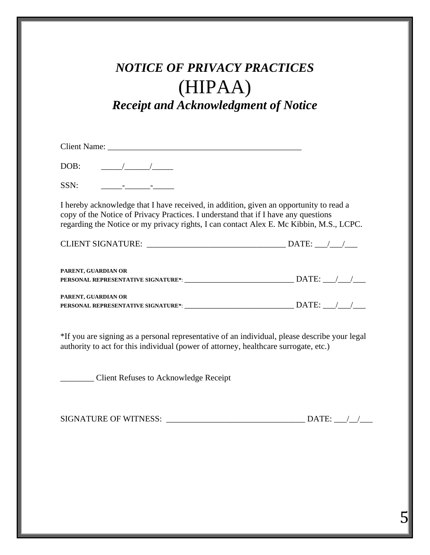# *NOTICE OF PRIVACY PRACTICES* (HIPAA) *Receipt and Acknowledgment of Notice*

Client Name:

DOB:  $\qquad \qquad / \qquad / \qquad$ 

SSN: \_\_\_\_\_-\_\_\_\_\_\_-\_\_\_\_\_

I hereby acknowledge that I have received, in addition, given an opportunity to read a copy of the Notice of Privacy Practices. I understand that if I have any questions regarding the Notice or my privacy rights, I can contact Alex E. Mc Kibbin, M.S., LCPC.

| <b>CLIENT SIGNATURE:</b>                                   | DATE: |
|------------------------------------------------------------|-------|
| PARENT, GUARDIAN OR<br>PERSONAL REPRESENTATIVE SIGNATURE*: | DATE: |
| PARENT, GUARDIAN OR<br>PERSONAL REPRESENTATIVE SIGNATURE*: | DATE: |

\*If you are signing as a personal representative of an individual, please describe your legal authority to act for this individual (power of attorney, healthcare surrogate, etc.)

\_\_\_\_\_\_\_\_ Client Refuses to Acknowledge Receipt

| <b>SIGNATURE OF WITNESS:</b> | <b>DATE</b> |  |
|------------------------------|-------------|--|
|                              |             |  |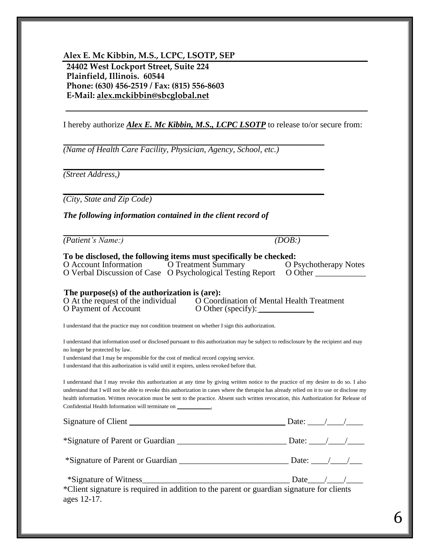**Alex E. Mc Kibbin, M.S., LCPC, LSOTP, SEP 24402 West Lockport Street, Suite 224 Plainfield, Illinois. 60544 Phone: (630) 456-2519 / Fax: (815) 556-8603 E-Mail: alex.mckibbin@sbcglobal.net**

I hereby authorize *Alex E. Mc Kibbin, M.S., LCPC LSOTP* to release to/or secure from:

\_\_\_\_\_\_\_\_\_\_\_\_\_\_\_\_\_\_\_\_\_\_\_\_\_\_\_\_\_\_\_\_\_\_\_\_\_\_\_\_\_\_\_\_\_\_\_\_\_\_\_\_\_\_\_\_\_\_\_\_\_\_

\_\_\_\_\_\_\_\_\_\_\_\_\_\_\_\_\_\_\_\_\_\_\_\_\_\_\_\_\_\_\_\_\_\_\_\_\_\_\_\_\_\_\_\_\_\_\_\_\_\_\_\_\_\_\_\_\_\_\_\_\_\_

*\_\_\_\_\_\_\_\_\_\_\_\_\_\_\_\_\_\_\_\_\_\_\_\_\_\_\_\_\_\_\_\_\_\_\_\_\_\_\_\_\_\_\_\_\_\_\_\_\_\_\_\_\_\_\_\_\_\_\_\_\_\_*

*(Name of Health Care Facility, Physician, Agency, School, etc.)*

*(Street Address,)*

*(City, State and Zip Code)*

*The following information contained in the client record of*

\_\_\_\_\_\_\_\_\_\_\_\_\_\_\_\_\_\_\_\_\_\_\_\_\_\_\_\_\_\_\_\_\_\_\_\_\_\_\_\_\_\_\_\_\_\_\_\_\_\_\_\_\_\_\_\_\_\_\_\_\_\_\_ *(Patient's Name:) (DOB:)*

#### **To be disclosed, the following items must specifically be checked:** O Account Information O Treatment Summary O Psychotherapy Notes

O Verbal Discussion of Case O Psychological Testing Report O Other \_

# **The purpose(s) of the authorization is (are):**<br>O At the request of the individual O Coord

O Coordination of Mental Health Treatment O Payment of Account  $O$  Other (specify):

I understand that the practice may not condition treatment on whether I sign this authorization.

I understand that information used or disclosed pursuant to this authorization may be subject to redisclosure by the recipient and may no longer be protected by law.

I understand that I may be responsible for the cost of medical record copying service.

I understand that this authorization is valid until it expires, unless revoked before that.

I understand that I may revoke this authorization at any time by giving written notice to the practice of my desire to do so. I also understand that I will not be able to revoke this authorization in cases where the therapist has already relied on it to use or disclose my health information. Written revocation must be sent to the practice. Absent such written revocation, this Authorization for Release of Confidential Health Information will terminate on \_\_\_\_\_\_\_\_\_\_\_\_.

| Signature of Client                                                                       | Date: $\angle$ / |
|-------------------------------------------------------------------------------------------|------------------|
| *Signature of Parent or Guardian $\Box$ Date: $\Box$                                      |                  |
|                                                                                           |                  |
| *Signature of Witness                                                                     | Date $/$ /       |
| *Client signature is required in addition to the parent or guardian signature for clients |                  |

ages 12-17.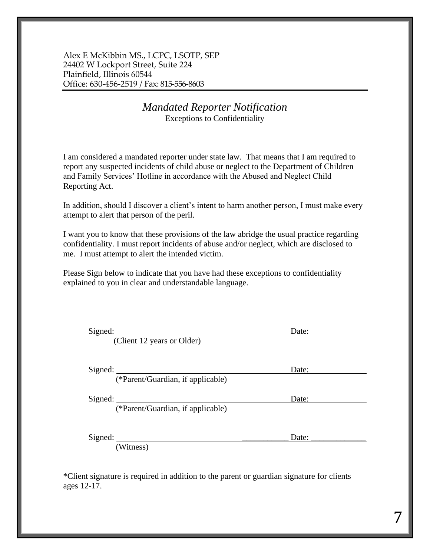Alex E McKibbin MS., LCPC, LSOTP, SEP 24402 W Lockport Street, Suite 224 Plainfield, Illinois 60544 Office: 630-456-2519 / Fax: 815-556-8603

### *Mandated Reporter Notification* Exceptions to Confidentiality

I am considered a mandated reporter under state law. That means that I am required to report any suspected incidents of child abuse or neglect to the Department of Children and Family Services' Hotline in accordance with the Abused and Neglect Child Reporting Act.

In addition, should I discover a client's intent to harm another person, I must make every attempt to alert that person of the peril.

I want you to know that these provisions of the law abridge the usual practice regarding confidentiality. I must report incidents of abuse and/or neglect, which are disclosed to me. I must attempt to alert the intended victim.

Please Sign below to indicate that you have had these exceptions to confidentiality explained to you in clear and understandable language.

| Signed:                           | Date: |
|-----------------------------------|-------|
| (Client 12 years or Older)        |       |
| Signed:                           | Date: |
| (*Parent/Guardian, if applicable) |       |
| Signed:                           | Date: |
| (*Parent/Guardian, if applicable) |       |
| Signed:                           | Date: |
| (Witness)                         |       |

\*Client signature is required in addition to the parent or guardian signature for clients ages 12-17.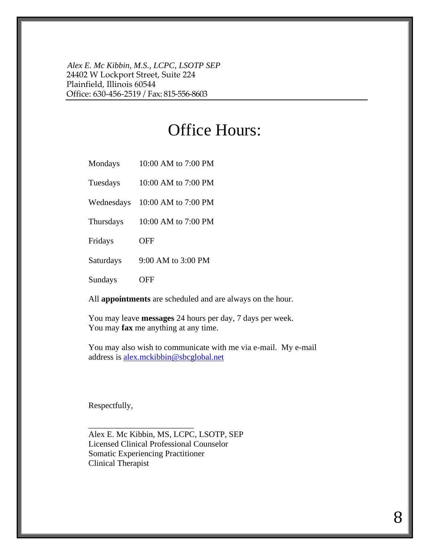*Alex E. Mc Kibbin, M.S., LCPC, LSOTP SEP* 24402 W Lockport Street, Suite 224 Plainfield, Illinois 60544 Office: 630-456-2519 / Fax: 815-556-8603

# Office Hours:

Mondays 10:00 AM to 7:00 PM

Tuesdays 10:00 AM to 7:00 PM

Wednesdays 10:00 AM to 7:00 PM

Thursdays 10:00 AM to 7:00 PM

Fridays OFF

Saturdays 9:00 AM to 3:00 PM

Sundays OFF

All **appointments** are scheduled and are always on the hour.

You may leave **messages** 24 hours per day, 7 days per week. You may **fax** me anything at any time.

You may also wish to communicate with me via e-mail. My e-mail address is **alex.mckibbin@sbcglobal.net** 

Respectfully,

Alex E. Mc Kibbin, MS, LCPC, LSOTP, SEP Licensed Clinical Professional Counselor Somatic Experiencing Practitioner Clinical Therapist

\_\_\_\_\_\_\_\_\_\_\_\_\_\_\_\_\_\_\_\_\_\_\_\_\_